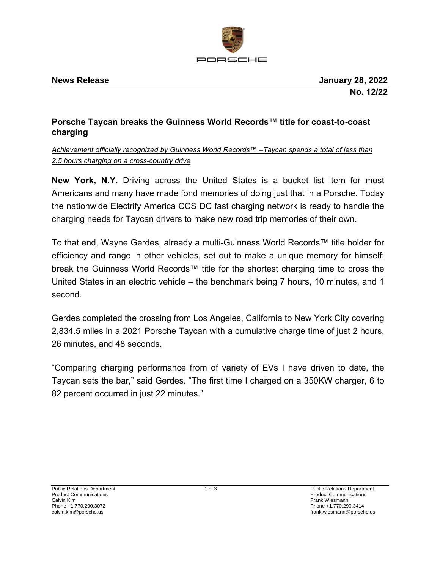

## **Porsche Taycan breaks the Guinness World Records™ title for coast-to-coast charging**

## *Achievement officially recognized by Guinness World Records™ –Taycan spends a total of less than 2.5 hours charging on a cross-country drive*

**New York, N.Y.** Driving across the United States is a bucket list item for most Americans and many have made fond memories of doing just that in a Porsche. Today the nationwide Electrify America CCS DC fast charging network is ready to handle the charging needs for Taycan drivers to make new road trip memories of their own.

To that end, Wayne Gerdes, already a multi-Guinness World Records™ title holder for efficiency and range in other vehicles, set out to make a unique memory for himself: break the Guinness World Records™ title for the shortest charging time to cross the United States in an electric vehicle – the benchmark being 7 hours, 10 minutes, and 1 second.

Gerdes completed the crossing from Los Angeles, California to New York City covering 2,834.5 miles in a 2021 Porsche Taycan with a cumulative charge time of just 2 hours, 26 minutes, and 48 seconds.

"Comparing charging performance from of variety of EVs I have driven to date, the Taycan sets the bar," said Gerdes. "The first time I charged on a 350KW charger, 6 to 82 percent occurred in just 22 minutes."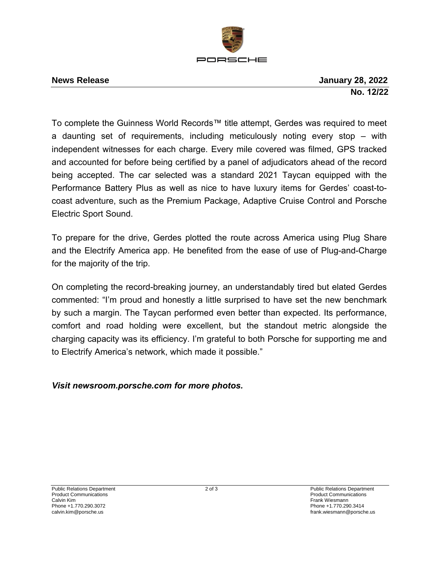

**News Release January 28, 2022 No. 12/22** 

To complete the Guinness World Records™ title attempt, Gerdes was required to meet a daunting set of requirements, including meticulously noting every stop – with independent witnesses for each charge. Every mile covered was filmed, GPS tracked and accounted for before being certified by a panel of adjudicators ahead of the record being accepted. The car selected was a standard 2021 Taycan equipped with the Performance Battery Plus as well as nice to have luxury items for Gerdes' coast-tocoast adventure, such as the Premium Package, Adaptive Cruise Control and Porsche Electric Sport Sound.

To prepare for the drive, Gerdes plotted the route across America using Plug Share and the Electrify America app. He benefited from the ease of use of Plug-and-Charge for the majority of the trip.

On completing the record-breaking journey, an understandably tired but elated Gerdes commented: "I'm proud and honestly a little surprised to have set the new benchmark by such a margin. The Taycan performed even better than expected. Its performance, comfort and road holding were excellent, but the standout metric alongside the charging capacity was its efficiency. I'm grateful to both Porsche for supporting me and to Electrify America's network, which made it possible."

*Visit newsroom.porsche.com for more photos.*